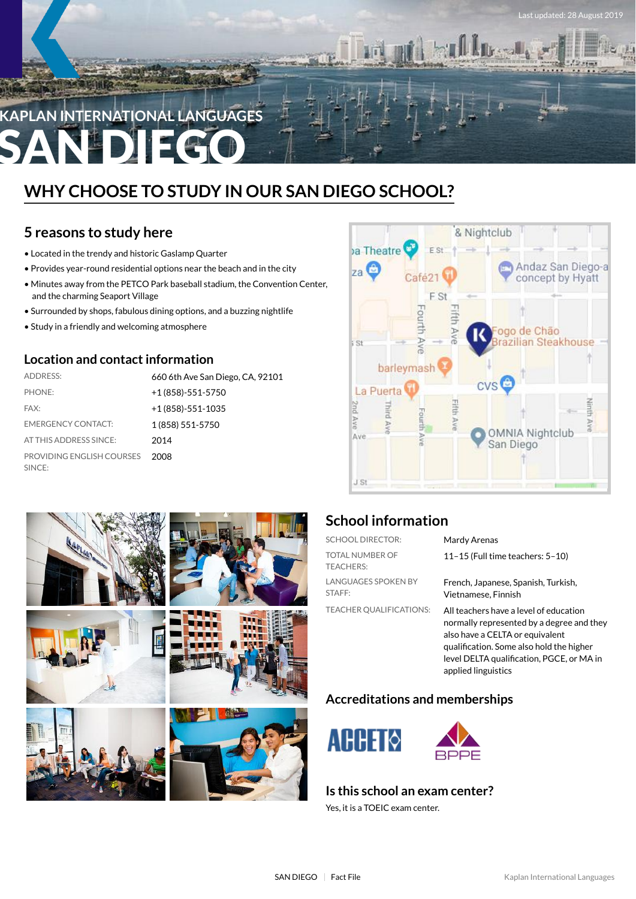

## **WHY CHOOSE TO STUDY IN OUR SAN DIEGO SCHOOL?**

## **5 reasons to study here**

- Located in the trendy and historic Gaslamp Quarter
- Provides year-round residential options near the beach and in the city
- Minutes away from the PETCO Park baseball stadium, the Convention Center, and the charming Seaport Village
- Surrounded by shops, fabulous dining options, and a buzzing nightlife
- Study in a friendly and welcoming atmosphere

### **Location and contactinformation**

| <b>ADDRESS:</b>                     | 660 6th Ave San Diego, CA, 92101 |
|-------------------------------------|----------------------------------|
| PHONE:                              | $+1(858)-551-5750$               |
| FAX:                                | $+1(858)-551-1035$               |
| <b>EMERGENCY CONTACT:</b>           | 1 (858) 551-5750                 |
| AT THIS ADDRESS SINCE:              | 2014                             |
| PROVIDING ENGLISH COURSES<br>SINCE: | 2008                             |



st updated: 28 August 2019



## **School information**

| <b>SCHOOL DIRECTOR:</b>                    | Mardy Arenas                                                                                                                                                                                                                           |
|--------------------------------------------|----------------------------------------------------------------------------------------------------------------------------------------------------------------------------------------------------------------------------------------|
| <b>TOTAL NUMBER OF</b><br><b>TEACHERS:</b> | 11-15 (Full time teachers: $5-10$ )                                                                                                                                                                                                    |
| <b>LANGUAGES SPOKEN BY</b><br>STAFF:       | French, Japanese, Spanish, Turkish,<br>Vietnamese. Finnish                                                                                                                                                                             |
| <b>TEACHER OUALIFICATIONS:</b>             | All teachers have a level of education<br>normally represented by a degree and they<br>also have a CELTA or equivalent<br>qualification. Some also hold the higher<br>level DELTA qualification, PGCE, or MA in<br>applied linguistics |

## **Accreditations and memberships**



### **Is this school an exam center?**

Yes, it is a TOEIC exam center.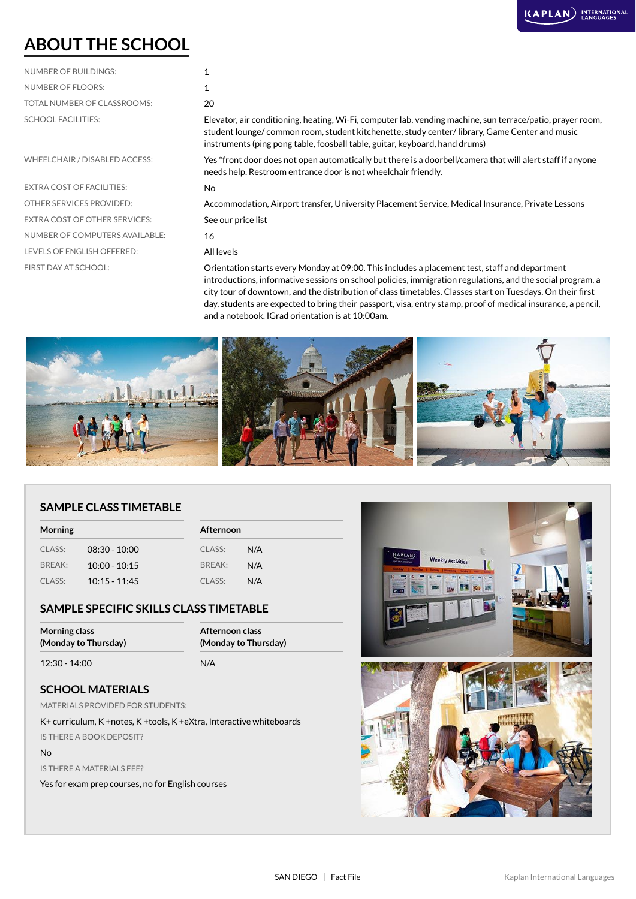## **ABOUT THE SCHOOL**

| <b>NUMBER OF BUILDINGS:</b> |     |
|-----------------------------|-----|
| NUMBER OF FLOORS:           | 1   |
| TOTAL NUMBER OF CLASSROOMS: | 20  |
| <b>SCHOOL FACILITIES:</b>   | Fle |

EXTRA COST OF FACILITIES: No EXTRA COST OF OTHER SERVICES: See our price list NUMBER OF COMPUTERS AVAILABLE: 16 LEVELS OF ENGLISH OFFERED: All levels

Elevator, air conditioning, heating, Wi-Fi, computer lab, vending machine, sun terrace/patio, prayer room, student lounge/ common room, student kitchenette, study center/ library, Game Center and music instruments (ping pong table, foosball table, guitar, keyboard, hand drums)

WHEELCHAIR / DISABLED ACCESS: Yes \*front door does not open automatically but there is a doorbell/camera that will alert staff if anyone needs help. Restroom entrance door is not wheelchair friendly.

OTHER SERVICES PROVIDED: Accommodation, Airport transfer, University Placement Service, Medical Insurance, Private Lessons

FIRST DAY AT SCHOOL: Orientation starts every Monday at 09:00. This includes a placement test, staff and department introductions, informative sessions on school policies, immigration regulations, and the social program, a city tour of downtown, and the distribution of class timetables. Classes start on Tuesdays. On their first day, students are expected to bring their passport, visa, entry stamp, proof of medical insurance, a pencil, and a notebook. IGrad orientation is at 10:00am.



### **SAMPLE CLASS TIMETABLE**

| Morning |                 |        | <b>Afternoon</b> |  |
|---------|-----------------|--------|------------------|--|
| CLASS:  | $08:30 - 10:00$ | CLASS: | N/A              |  |
| BREAK:  | $10:00 - 10:15$ | BREAK: | N/A              |  |
| CLASS:  | $10:15 - 11:45$ | CLASS: | N/A              |  |

### **SAMPLE SPECIFIC SKILLS CLASS TIMETABLE**

| Morning class        | Afternoon class      |  |
|----------------------|----------------------|--|
| (Monday to Thursday) | (Monday to Thursday) |  |
| 12:30 - 14:00        | N/A                  |  |

### **SCHOOL MATERIALS**

MATERIALS PROVIDED FOR STUDENTS:

K+ curriculum, K +notes, K +tools, K +eXtra, Interactive whiteboards IS THERE A BOOK DEPOSIT?

#### No

IS THERE A MATERIALS FEE?

Yes for exam prep courses, no for English courses

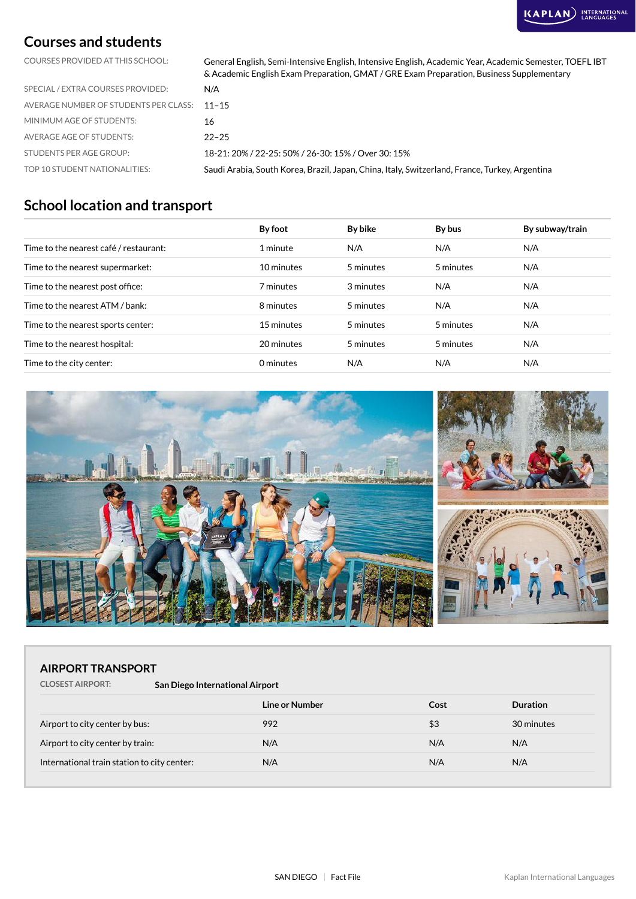## **Courses and students**

COURSES PROVIDED AT THIS SCHOOL: General English, Semi-Intensive English, Intensive English, Academic Year, Academic Semester, TOEFL IBT & Academic English Exam Preparation, GMAT / GRE Exam Preparation, Business Supplementary

| SPECIAL / EXTRA COURSES PROVIDED:           | N/A                                                                                            |
|---------------------------------------------|------------------------------------------------------------------------------------------------|
| AVERAGE NUMBER OF STUDENTS PER CLASS: 11-15 |                                                                                                |
| MINIMUM AGE OF STUDENTS:                    | 16                                                                                             |
| AVERAGE AGE OF STUDENTS:                    | $22 - 25$                                                                                      |
| STUDENTS PER AGE GROUP:                     | 18-21: 20% / 22-25: 50% / 26-30: 15% / Over 30: 15%                                            |
| TOP 10 STUDENT NATIONALITIES:               | Saudi Arabia, South Korea, Brazil, Japan, China, Italy, Switzerland, France, Turkey, Argentina |

## **School location and transport**

|                                        | By foot    | By bike   | By bus    | By subway/train |
|----------------------------------------|------------|-----------|-----------|-----------------|
| Time to the nearest café / restaurant: | 1 minute   | N/A       | N/A       | N/A             |
| Time to the nearest supermarket:       | 10 minutes | 5 minutes | 5 minutes | N/A             |
| Time to the nearest post office:       | 7 minutes  | 3 minutes | N/A       | N/A             |
| Time to the nearest ATM / bank:        | 8 minutes  | 5 minutes | N/A       | N/A             |
| Time to the nearest sports center:     | 15 minutes | 5 minutes | 5 minutes | N/A             |
| Time to the nearest hospital:          | 20 minutes | 5 minutes | 5 minutes | N/A             |
| Time to the city center:               | 0 minutes  | N/A       | N/A       | N/A             |



### **AIRPORT TRANSPORT**

**CLOSEST AIRPORT: San Diego International Airport**

|                                             | Line or Number | Cost | <b>Duration</b> |
|---------------------------------------------|----------------|------|-----------------|
| Airport to city center by bus:              | 992            | \$3  | 30 minutes      |
| Airport to city center by train:            | N/A            | N/A  | N/A             |
| International train station to city center: | N/A            | N/A  | N/A             |
|                                             |                |      |                 |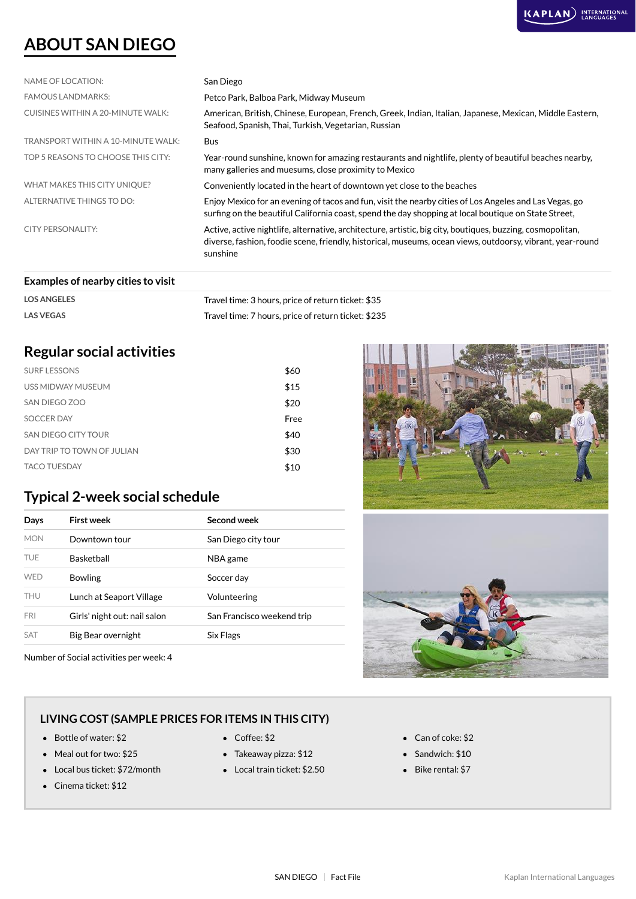## **ABOUT SAN DIEGO**

| NAME OF LOCATION:                  | San Diego                                                                                                                                                                                                                            |
|------------------------------------|--------------------------------------------------------------------------------------------------------------------------------------------------------------------------------------------------------------------------------------|
| <b>FAMOUS LANDMARKS:</b>           | Petco Park, Balboa Park, Midway Museum                                                                                                                                                                                               |
| CUISINES WITHIN A 20-MINUTE WALK:  | American, British, Chinese, European, French, Greek, Indian, Italian, Japanese, Mexican, Middle Eastern,<br>Seafood, Spanish, Thai, Turkish, Vegetarian, Russian                                                                     |
| TRANSPORT WITHIN A 10-MINUTE WALK: | <b>Bus</b>                                                                                                                                                                                                                           |
| TOP 5 REASONS TO CHOOSE THIS CITY: | Year-round sunshine, known for amazing restaurants and nightlife, plenty of beautiful beaches nearby,<br>many galleries and muesums, close proximity to Mexico                                                                       |
| WHAT MAKES THIS CITY UNIQUE?       | Conveniently located in the heart of downtown yet close to the beaches                                                                                                                                                               |
| ALTERNATIVE THINGS TO DO:          | Enjoy Mexico for an evening of tacos and fun, visit the nearby cities of Los Angeles and Las Vegas, go<br>surfing on the beautiful California coast, spend the day shopping at local boutique on State Street,                       |
| CITY PERSONALITY:                  | Active, active nightlife, alternative, architecture, artistic, big city, boutiques, buzzing, cosmopolitan,<br>diverse, fashion, foodie scene, friendly, historical, museums, ocean views, outdoorsy, vibrant, year-round<br>sunshine |
|                                    |                                                                                                                                                                                                                                      |

#### **Examples of nearby cities to visit**

| <b>LOS ANGELES</b> | Travel time: 3 hours, price of return ticket: \$35  |
|--------------------|-----------------------------------------------------|
| <b>LAS VEGAS</b>   | Travel time: 7 hours, price of return ticket: \$235 |

## **Regular social activities**

| <b>SURF LESSONS</b>        | \$60 |
|----------------------------|------|
| USS MIDWAY MUSEUM          | \$15 |
| SAN DIEGO ZOO              | \$20 |
| <b>SOCCER DAY</b>          | Free |
| SAN DIEGO CITY TOUR        | \$40 |
| DAY TRIP TO TOWN OF JULIAN | \$30 |
| <b>TACO TUESDAY</b>        | \$10 |

## **Typical 2-week social schedule**

| Days       | First week                   | Second week                |
|------------|------------------------------|----------------------------|
| <b>MON</b> | Downtown tour                | San Diego city tour        |
| TUF        | <b>Basketball</b>            | NBA game                   |
| <b>WFD</b> | <b>Bowling</b>               | Soccer day                 |
| <b>THU</b> | Lunch at Seaport Village     | Volunteering               |
| <b>FRI</b> | Girls' night out: nail salon | San Francisco weekend trip |
| <b>SAT</b> | Big Bear overnight           | Six Flags                  |

Number of Social activities per week: 4





### **LIVING COST (SAMPLE PRICES FOR ITEMS IN THIS CITY)**

- Bottle of water: \$2 Coffee: \$2 Can of coke: \$2
- Meal out for two: \$25 Takeaway pizza: \$12 Sandwich: \$10
- Local bus ticket: \$72/month Local train ticket: \$2.50 Bike rental: \$7
- Cinema ticket: \$12
- 
- 
- 
- 
- 
-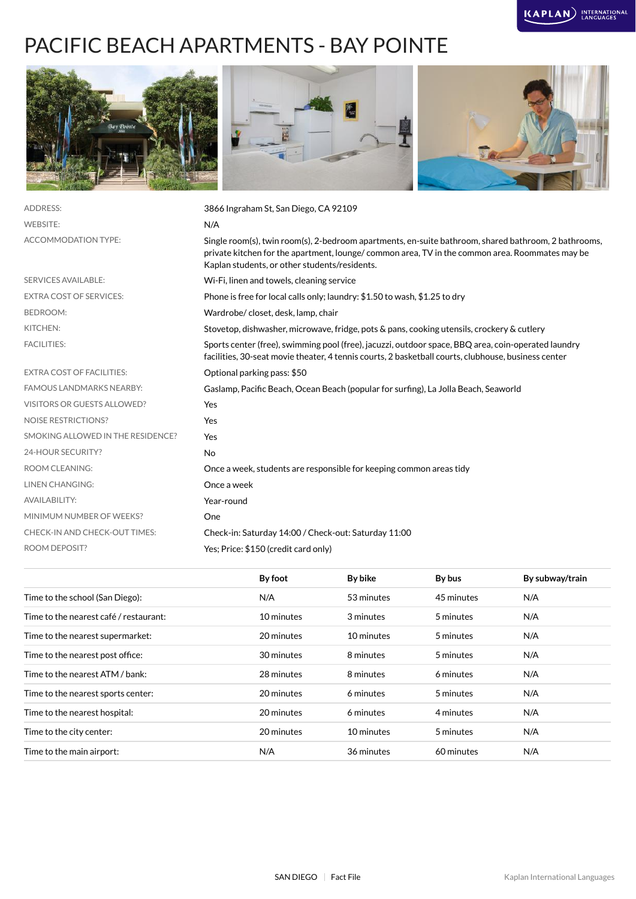# PACIFIC BEACH APARTMENTS - BAY POINTE



| N/A<br>Single room(s), twin room(s), 2-bedroom apartments, en-suite bathroom, shared bathroom, 2 bathrooms,<br>private kitchen for the apartment, lounge/ common area, TV in the common area. Roommates may be<br>Kaplan students, or other students/residents.<br>Wi-Fi, linen and towels, cleaning service<br>Phone is free for local calls only; laundry: \$1.50 to wash, \$1.25 to dry<br>Wardrobe/closet, desk, lamp, chair<br>Stovetop, dishwasher, microwave, fridge, pots & pans, cooking utensils, crockery & cutlery<br>Sports center (free), swimming pool (free), jacuzzi, outdoor space, BBQ area, coin-operated laundry<br>facilities, 30-seat movie theater, 4 tennis courts, 2 basketball courts, clubhouse, business center<br>Optional parking pass: \$50<br>Gaslamp, Pacific Beach, Ocean Beach (popular for surfing), La Jolla Beach, Seaworld<br>Yes<br>Yes<br>Yes<br>No<br>Once a week, students are responsible for keeping common areas tidy<br>Once a week<br>Year-round<br>One<br>Check-in: Saturday 14:00 / Check-out: Saturday 11:00<br>Yes: Price: \$150 (credit card only) | <b>ADDRESS:</b>                    | 3866 Ingraham St, San Diego, CA 92109 |
|----------------------------------------------------------------------------------------------------------------------------------------------------------------------------------------------------------------------------------------------------------------------------------------------------------------------------------------------------------------------------------------------------------------------------------------------------------------------------------------------------------------------------------------------------------------------------------------------------------------------------------------------------------------------------------------------------------------------------------------------------------------------------------------------------------------------------------------------------------------------------------------------------------------------------------------------------------------------------------------------------------------------------------------------------------------------------------------------------------|------------------------------------|---------------------------------------|
|                                                                                                                                                                                                                                                                                                                                                                                                                                                                                                                                                                                                                                                                                                                                                                                                                                                                                                                                                                                                                                                                                                          | <b>WEBSITE:</b>                    |                                       |
|                                                                                                                                                                                                                                                                                                                                                                                                                                                                                                                                                                                                                                                                                                                                                                                                                                                                                                                                                                                                                                                                                                          | <b>ACCOMMODATION TYPE:</b>         |                                       |
|                                                                                                                                                                                                                                                                                                                                                                                                                                                                                                                                                                                                                                                                                                                                                                                                                                                                                                                                                                                                                                                                                                          | <b>SERVICES AVAILABLE:</b>         |                                       |
|                                                                                                                                                                                                                                                                                                                                                                                                                                                                                                                                                                                                                                                                                                                                                                                                                                                                                                                                                                                                                                                                                                          | <b>EXTRA COST OF SERVICES:</b>     |                                       |
|                                                                                                                                                                                                                                                                                                                                                                                                                                                                                                                                                                                                                                                                                                                                                                                                                                                                                                                                                                                                                                                                                                          | <b>BEDROOM:</b>                    |                                       |
|                                                                                                                                                                                                                                                                                                                                                                                                                                                                                                                                                                                                                                                                                                                                                                                                                                                                                                                                                                                                                                                                                                          | KITCHEN:                           |                                       |
|                                                                                                                                                                                                                                                                                                                                                                                                                                                                                                                                                                                                                                                                                                                                                                                                                                                                                                                                                                                                                                                                                                          | <b>FACILITIES:</b>                 |                                       |
|                                                                                                                                                                                                                                                                                                                                                                                                                                                                                                                                                                                                                                                                                                                                                                                                                                                                                                                                                                                                                                                                                                          | <b>EXTRA COST OF FACILITIES:</b>   |                                       |
|                                                                                                                                                                                                                                                                                                                                                                                                                                                                                                                                                                                                                                                                                                                                                                                                                                                                                                                                                                                                                                                                                                          | <b>FAMOUS LANDMARKS NEARBY:</b>    |                                       |
|                                                                                                                                                                                                                                                                                                                                                                                                                                                                                                                                                                                                                                                                                                                                                                                                                                                                                                                                                                                                                                                                                                          | <b>VISITORS OR GUESTS ALLOWED?</b> |                                       |
|                                                                                                                                                                                                                                                                                                                                                                                                                                                                                                                                                                                                                                                                                                                                                                                                                                                                                                                                                                                                                                                                                                          | <b>NOISE RESTRICTIONS?</b>         |                                       |
|                                                                                                                                                                                                                                                                                                                                                                                                                                                                                                                                                                                                                                                                                                                                                                                                                                                                                                                                                                                                                                                                                                          | SMOKING ALLOWED IN THE RESIDENCE?  |                                       |
|                                                                                                                                                                                                                                                                                                                                                                                                                                                                                                                                                                                                                                                                                                                                                                                                                                                                                                                                                                                                                                                                                                          | 24-HOUR SECURITY?                  |                                       |
|                                                                                                                                                                                                                                                                                                                                                                                                                                                                                                                                                                                                                                                                                                                                                                                                                                                                                                                                                                                                                                                                                                          | <b>ROOM CLEANING:</b>              |                                       |
|                                                                                                                                                                                                                                                                                                                                                                                                                                                                                                                                                                                                                                                                                                                                                                                                                                                                                                                                                                                                                                                                                                          | <b>LINEN CHANGING:</b>             |                                       |
|                                                                                                                                                                                                                                                                                                                                                                                                                                                                                                                                                                                                                                                                                                                                                                                                                                                                                                                                                                                                                                                                                                          | <b>AVAILABILITY:</b>               |                                       |
|                                                                                                                                                                                                                                                                                                                                                                                                                                                                                                                                                                                                                                                                                                                                                                                                                                                                                                                                                                                                                                                                                                          | MINIMUM NUMBER OF WEEKS?           |                                       |
|                                                                                                                                                                                                                                                                                                                                                                                                                                                                                                                                                                                                                                                                                                                                                                                                                                                                                                                                                                                                                                                                                                          | CHECK-IN AND CHECK-OUT TIMES:      |                                       |
|                                                                                                                                                                                                                                                                                                                                                                                                                                                                                                                                                                                                                                                                                                                                                                                                                                                                                                                                                                                                                                                                                                          | <b>ROOM DEPOSIT?</b>               |                                       |

|                                        | By foot    | By bike    | By bus     | By subway/train |
|----------------------------------------|------------|------------|------------|-----------------|
| Time to the school (San Diego):        | N/A        | 53 minutes | 45 minutes | N/A             |
| Time to the nearest café / restaurant: | 10 minutes | 3 minutes  | 5 minutes  | N/A             |
| Time to the nearest supermarket:       | 20 minutes | 10 minutes | 5 minutes  | N/A             |
| Time to the nearest post office:       | 30 minutes | 8 minutes  | 5 minutes  | N/A             |
| Time to the nearest ATM / bank:        | 28 minutes | 8 minutes  | 6 minutes  | N/A             |
| Time to the nearest sports center:     | 20 minutes | 6 minutes  | 5 minutes  | N/A             |
| Time to the nearest hospital:          | 20 minutes | 6 minutes  | 4 minutes  | N/A             |
| Time to the city center:               | 20 minutes | 10 minutes | 5 minutes  | N/A             |
| Time to the main airport:              | N/A        | 36 minutes | 60 minutes | N/A             |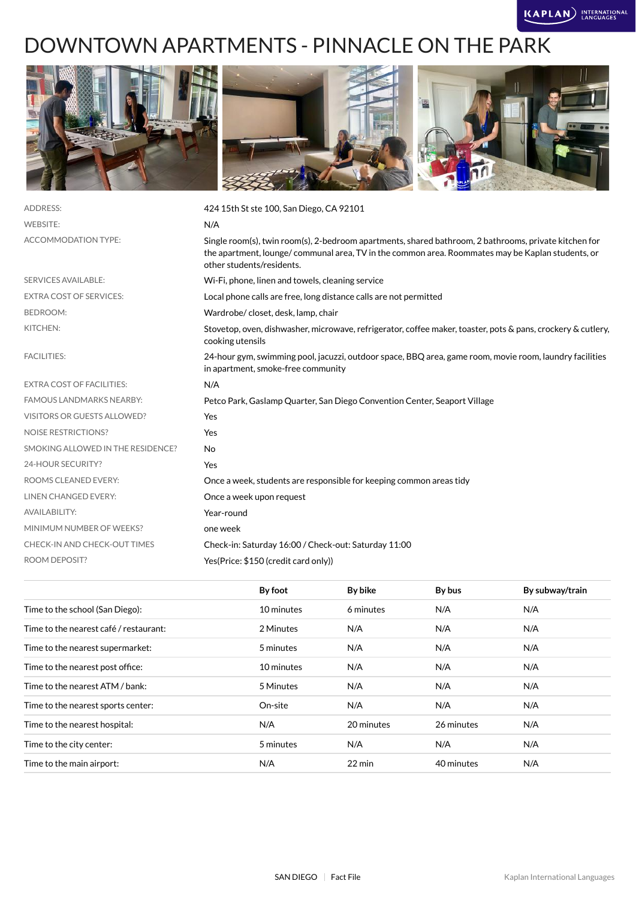# DOWNTOWN APARTMENTS - PINNACLE ON THE PARK



| <b>ADDRESS:</b>                   | 424 15th St ste 100, San Diego, CA 92101                                                                                                                                                                                               |
|-----------------------------------|----------------------------------------------------------------------------------------------------------------------------------------------------------------------------------------------------------------------------------------|
| <b>WEBSITE:</b>                   | N/A                                                                                                                                                                                                                                    |
| ACCOMMODATION TYPE:               | Single room(s), twin room(s), 2-bedroom apartments, shared bathroom, 2 bathrooms, private kitchen for<br>the apartment, lounge/communal area, TV in the common area. Roommates may be Kaplan students, or<br>other students/residents. |
| <b>SERVICES AVAILABLE:</b>        | Wi-Fi, phone, linen and towels, cleaning service                                                                                                                                                                                       |
| <b>EXTRA COST OF SERVICES:</b>    | Local phone calls are free, long distance calls are not permitted                                                                                                                                                                      |
| <b>BEDROOM:</b>                   | Wardrobe/closet, desk, lamp, chair                                                                                                                                                                                                     |
| KITCHEN:                          | Stovetop, oven, dishwasher, microwave, refrigerator, coffee maker, toaster, pots & pans, crockery & cutlery,<br>cooking utensils                                                                                                       |
| <b>FACILITIES:</b>                | 24-hour gym, swimming pool, jacuzzi, outdoor space, BBQ area, game room, movie room, laundry facilities<br>in apartment, smoke-free community                                                                                          |
| <b>EXTRA COST OF FACILITIES:</b>  | N/A                                                                                                                                                                                                                                    |
| <b>FAMOUS LANDMARKS NEARBY:</b>   | Petco Park, Gaslamp Quarter, San Diego Convention Center, Seaport Village                                                                                                                                                              |
| VISITORS OR GUESTS ALLOWED?       | Yes                                                                                                                                                                                                                                    |
| <b>NOISE RESTRICTIONS?</b>        | Yes                                                                                                                                                                                                                                    |
| SMOKING ALLOWED IN THE RESIDENCE? | No                                                                                                                                                                                                                                     |
| 24-HOUR SECURITY?                 | Yes                                                                                                                                                                                                                                    |
| ROOMS CLEANED EVERY:              | Once a week, students are responsible for keeping common areas tidy                                                                                                                                                                    |
| LINEN CHANGED EVERY:              | Once a week upon request                                                                                                                                                                                                               |
| <b>AVAILABILITY:</b>              | Year-round                                                                                                                                                                                                                             |
| MINIMUM NUMBER OF WEEKS?          | one week                                                                                                                                                                                                                               |
| CHECK-IN AND CHECK-OUT TIMES      | Check-in: Saturday 16:00 / Check-out: Saturday 11:00                                                                                                                                                                                   |
| <b>ROOM DEPOSIT?</b>              | Yes(Price: \$150 (credit card only))                                                                                                                                                                                                   |
|                                   |                                                                                                                                                                                                                                        |

|                                        | By foot    | By bike    | By bus     | By subway/train |
|----------------------------------------|------------|------------|------------|-----------------|
| Time to the school (San Diego):        | 10 minutes | 6 minutes  | N/A        | N/A             |
| Time to the nearest café / restaurant: | 2 Minutes  | N/A        | N/A        | N/A             |
| Time to the nearest supermarket:       | 5 minutes  | N/A        | N/A        | N/A             |
| Time to the nearest post office:       | 10 minutes | N/A        | N/A        | N/A             |
| Time to the nearest ATM / bank:        | 5 Minutes  | N/A        | N/A        | N/A             |
| Time to the nearest sports center:     | On-site    | N/A        | N/A        | N/A             |
| Time to the nearest hospital:          | N/A        | 20 minutes | 26 minutes | N/A             |
| Time to the city center:               | 5 minutes  | N/A        | N/A        | N/A             |
| Time to the main airport:              | N/A        | 22 min     | 40 minutes | N/A             |
|                                        |            |            |            |                 |